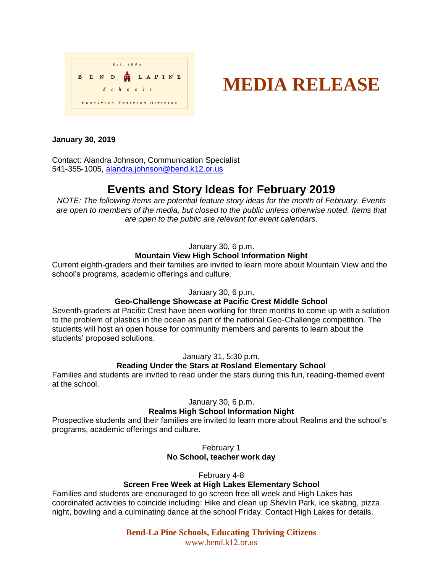

# **MEDIA RELEASE**

# **January 30, 2019**

Contact: Alandra Johnson, Communication Specialist 541-355-1005, [alandra.johnson@bend.k12.or.us](mailto:alandra.johnson@bend.k12.or.us)

# **Events and Story Ideas for February 2019**

*NOTE: The following items are potential feature story ideas for the month of February. Events are open to members of the media, but closed to the public unless otherwise noted. Items that are open to the public are relevant for event calendars.*

January 30, 6 p.m.

# **Mountain View High School Information Night**

Current eighth-graders and their families are invited to learn more about Mountain View and the school's programs, academic offerings and culture.

### January 30, 6 p.m.

### **Geo-Challenge Showcase at Pacific Crest Middle School**

Seventh-graders at Pacific Crest have been working for three months to come up with a solution to the problem of plastics in the ocean as part of the national Geo-Challenge competition. The students will host an open house for community members and parents to learn about the students' proposed solutions.

January 31, 5:30 p.m.

# **Reading Under the Stars at Rosland Elementary School**

Families and students are invited to read under the stars during this fun, reading-themed event at the school.

January 30, 6 p.m.

### **Realms High School Information Night**

Prospective students and their families are invited to learn more about Realms and the school's programs, academic offerings and culture.

> February 1 **No School, teacher work day**

> > February 4-8

### **Screen Free Week at High Lakes Elementary School**

Families and students are encouraged to go screen free all week and High Lakes has coordinated activities to coincide including: Hike and clean up Shevlin Park, ice skating, pizza night, bowling and a culminating dance at the school Friday. Contact High Lakes for details.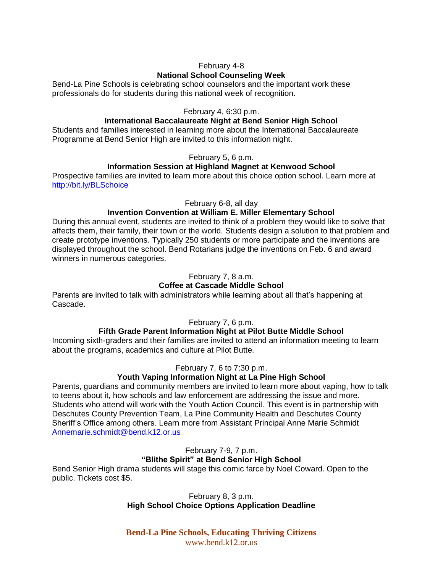# February 4-8 **National School Counseling Week**

Bend-La Pine Schools is celebrating school counselors and the important work these professionals do for students during this national week of recognition.

# February 4, 6:30 p.m.

#### **International Baccalaureate Night at Bend Senior High School**

Students and families interested in learning more about the International Baccalaureate Programme at Bend Senior High are invited to this information night.

#### February 5, 6 p.m.

#### **Information Session at Highland Magnet at Kenwood School**

Prospective families are invited to learn more about this choice option school. Learn more at <http://bit.ly/BLSchoice>

February 6-8, all day

#### **Invention Convention at William E. Miller Elementary School**

During this annual event, students are invited to think of a problem they would like to solve that affects them, their family, their town or the world. Students design a solution to that problem and create prototype inventions. Typically 250 students or more participate and the inventions are displayed throughout the school. Bend Rotarians judge the inventions on Feb. 6 and award winners in numerous categories.

#### February 7, 8 a.m.

#### **Coffee at Cascade Middle School**

Parents are invited to talk with administrators while learning about all that's happening at Cascade.

#### February 7, 6 p.m.

#### **Fifth Grade Parent Information Night at Pilot Butte Middle School**

Incoming sixth-graders and their families are invited to attend an information meeting to learn about the programs, academics and culture at Pilot Butte.

#### February 7, 6 to 7:30 p.m.

#### **Youth Vaping Information Night at La Pine High School**

Parents, guardians and community members are invited to learn more about vaping, how to talk to teens about it, how schools and law enforcement are addressing the issue and more. Students who attend will work with the Youth Action Council. This event is in partnership with Deschutes County Prevention Team, La Pine Community Health and Deschutes County Sheriff's Office among others. Learn more from Assistant Principal Anne Marie Schmidt [Annemarie.schmidt@bend.k12.or.us](mailto:Annemarie.schmidt@bend.k12.or.us)

February 7-9, 7 p.m.

### **"Blithe Spirit" at Bend Senior High School**

Bend Senior High drama students will stage this comic farce by Noel Coward. Open to the public. Tickets cost \$5.

> February 8, 3 p.m. **High School Choice Options Application Deadline**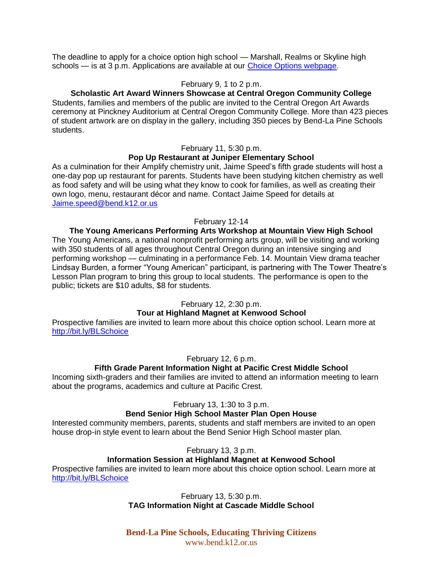The deadline to apply for a choice option high school — Marshall, Realms or Skyline high schools — is at 3 p.m. Applications are available at our [Choice Options webpage.](http://bit.ly/BLSchoice)

#### February 9, 1 to 2 p.m.

#### **Scholastic Art Award Winners Showcase at Central Oregon Community College**

Students, families and members of the public are invited to the Central Oregon Art Awards ceremony at Pinckney Auditorium at Central Oregon Community College. More than 423 pieces of student artwork are on display in the gallery, including 350 pieces by Bend-La Pine Schools students.

#### February 11, 5:30 p.m.

# **Pop Up Restaurant at Juniper Elementary School**

As a culmination for their Amplify chemistry unit, Jaime Speed's fifth grade students will host a one-day pop up restaurant for parents. Students have been studying kitchen chemistry as well as food safety and will be using what they know to cook for families, as well as creating their own logo, menu, restaurant décor and name. Contact Jaime Speed for details at [Jaime.speed@bend.k12.or.us](mailto:Jaime.speed@bend.k12.or.us) 

#### February 12-14

**The Young Americans Performing Arts Workshop at Mountain View High School** The Young Americans, a national nonprofit performing arts group, will be visiting and working with 350 students of all ages throughout Central Oregon during an intensive singing and performing workshop — culminating in a performance Feb. 14. Mountain View drama teacher Lindsay Burden, a former "Young American" participant, is partnering with The Tower Theatre's Lesson Plan program to bring this group to local students. The performance is open to the public; tickets are \$10 adults, \$8 for students.

#### February 12, 2:30 p.m.

#### **Tour at Highland Magnet at Kenwood School**

Prospective families are invited to learn more about this choice option school. Learn more at <http://bit.ly/BLSchoice>

#### February 12, 6 p.m.

# **Fifth Grade Parent Information Night at Pacific Crest Middle School**

Incoming sixth-graders and their families are invited to attend an information meeting to learn about the programs, academics and culture at Pacific Crest.

#### February 13, 1:30 to 3 p.m.

# **Bend Senior High School Master Plan Open House**

Interested community members, parents, students and staff members are invited to an open house drop-in style event to learn about the Bend Senior High School master plan.

#### February 13, 3 p.m.

# **Information Session at Highland Magnet at Kenwood School**

Prospective families are invited to learn more about this choice option school. Learn more at <http://bit.ly/BLSchoice>

#### February 13, 5:30 p.m. **TAG Information Night at Cascade Middle School**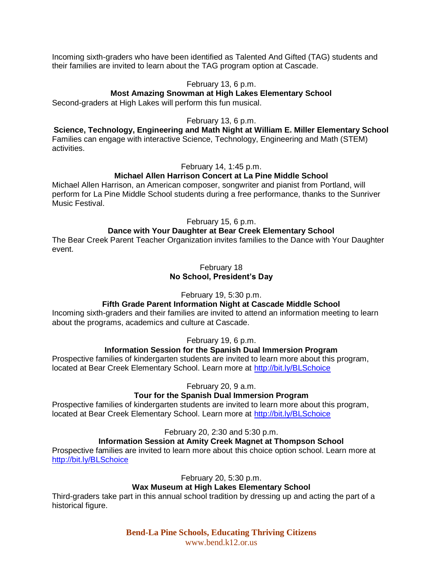Incoming sixth-graders who have been identified as Talented And Gifted (TAG) students and their families are invited to learn about the TAG program option at Cascade.

#### February 13, 6 p.m.

#### **Most Amazing Snowman at High Lakes Elementary School**

Second-graders at High Lakes will perform this fun musical.

#### February 13, 6 p.m.

**Science, Technology, Engineering and Math Night at William E. Miller Elementary School** Families can engage with interactive Science, Technology, Engineering and Math (STEM) activities.

#### February 14, 1:45 p.m.

### **Michael Allen Harrison Concert at La Pine Middle School**

Michael Allen Harrison, an American composer, songwriter and pianist from Portland, will perform for La Pine Middle School students during a free performance, thanks to the Sunriver Music Festival.

#### February 15, 6 p.m.

#### **Dance with Your Daughter at Bear Creek Elementary School**

The Bear Creek Parent Teacher Organization invites families to the Dance with Your Daughter event.

#### February 18 **No School, President's Day**

February 19, 5:30 p.m.

### **Fifth Grade Parent Information Night at Cascade Middle School**

Incoming sixth-graders and their families are invited to attend an information meeting to learn about the programs, academics and culture at Cascade.

February 19, 6 p.m.

### **Information Session for the Spanish Dual Immersion Program**

Prospective families of kindergarten students are invited to learn more about this program, located at Bear Creek Elementary School. Learn more at<http://bit.ly/BLSchoice>

February 20, 9 a.m.

### **Tour for the Spanish Dual Immersion Program**

Prospective families of kindergarten students are invited to learn more about this program, located at Bear Creek Elementary School. Learn more at<http://bit.ly/BLSchoice>

February 20, 2:30 and 5:30 p.m.

# **Information Session at Amity Creek Magnet at Thompson School**

Prospective families are invited to learn more about this choice option school. Learn more at <http://bit.ly/BLSchoice>

February 20, 5:30 p.m.

# **Wax Museum at High Lakes Elementary School**

Third-graders take part in this annual school tradition by dressing up and acting the part of a historical figure.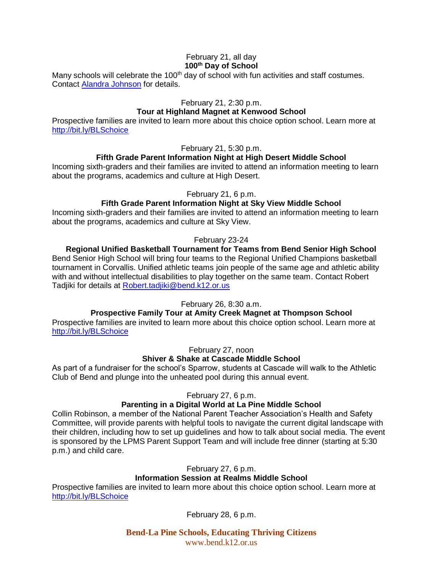#### February 21, all day **100th Day of School**

Many schools will celebrate the  $100<sup>th</sup>$  day of school with fun activities and staff costumes. Contact [Alandra Johnson](mailto:alandra.johnson@bend.k12.or.us) for details.

#### February 21, 2:30 p.m.

# **Tour at Highland Magnet at Kenwood School**

Prospective families are invited to learn more about this choice option school. Learn more at <http://bit.ly/BLSchoice>

February 21, 5:30 p.m.

# **Fifth Grade Parent Information Night at High Desert Middle School**

Incoming sixth-graders and their families are invited to attend an information meeting to learn about the programs, academics and culture at High Desert.

#### February 21, 6 p.m.

# **Fifth Grade Parent Information Night at Sky View Middle School**

Incoming sixth-graders and their families are invited to attend an information meeting to learn about the programs, academics and culture at Sky View.

### February 23-24

**Regional Unified Basketball Tournament for Teams from Bend Senior High School** Bend Senior High School will bring four teams to the Regional Unified Champions basketball tournament in Corvallis. Unified athletic teams join people of the same age and athletic ability with and without intellectual disabilities to play together on the same team. Contact Robert Tadjiki for details at [Robert.tadjiki@bend.k12.or.us](mailto:Robert.tadjiki@bend.k12.or.us)

February 26, 8:30 a.m.

# **Prospective Family Tour at Amity Creek Magnet at Thompson School**

Prospective families are invited to learn more about this choice option school. Learn more at <http://bit.ly/BLSchoice>

February 27, noon

# **Shiver & Shake at Cascade Middle School**

As part of a fundraiser for the school's Sparrow, students at Cascade will walk to the Athletic Club of Bend and plunge into the unheated pool during this annual event.

February 27, 6 p.m.

# **Parenting in a Digital World at La Pine Middle School**

Collin Robinson, a member of the National Parent Teacher Association's Health and Safety Committee, will provide parents with helpful tools to navigate the current digital landscape with their children, including how to set up guidelines and how to talk about social media. The event is sponsored by the LPMS Parent Support Team and will include free dinner (starting at 5:30 p.m.) and child care.

February 27, 6 p.m.

# **Information Session at Realms Middle School**

Prospective families are invited to learn more about this choice option school. Learn more at <http://bit.ly/BLSchoice>

February 28, 6 p.m.